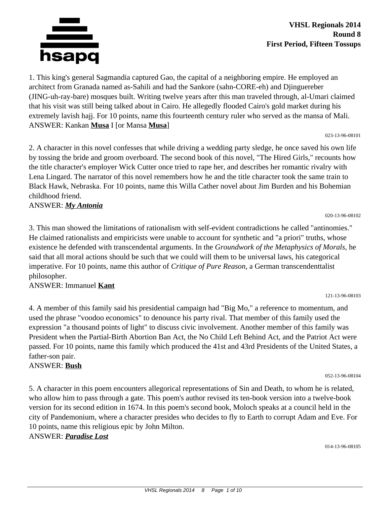

1. This king's general Sagmandia captured Gao, the capital of a neighboring empire. He employed an architect from Granada named as-Sahili and had the Sankore (sahn-CORE-eh) and Djinguereber (JING-uh-ray-bare) mosques built. Writing twelve years after this man traveled through, al-Umari claimed that his visit was still being talked about in Cairo. He allegedly flooded Cairo's gold market during his extremely lavish hajj. For 10 points, name this fourteenth century ruler who served as the mansa of Mali. ANSWER: Kankan **Musa** I [or Mansa **Musa**]

023-13-96-08101

020-13-96-08102

121-13-96-08103

2. A character in this novel confesses that while driving a wedding party sledge, he once saved his own life by tossing the bride and groom overboard. The second book of this novel, "The Hired Girls," recounts how the title character's employer Wick Cutter once tried to rape her, and describes her romantic rivalry with Lena Lingard. The narrator of this novel remembers how he and the title character took the same train to Black Hawk, Nebraska. For 10 points, name this Willa Cather novel about Jim Burden and his Bohemian childhood friend.

#### ANSWER: *My Antonia*

3. This man showed the limitations of rationalism with self-evident contradictions he called "antinomies." He claimed rationalists and empiricists were unable to account for synthetic and "a priori" truths, whose existence he defended with transcendental arguments. In the *Groundwork of the Metaphysics of Morals,* he said that all moral actions should be such that we could will them to be universal laws, his categorical imperative. For 10 points, name this author of *Critique of Pure Reason,* a German transcendenttalist philosopher.

### ANSWER: Immanuel **Kant**

4. A member of this family said his presidential campaign had "Big Mo," a reference to momentum, and used the phrase "voodoo economics" to denounce his party rival. That member of this family used the expression "a thousand points of light" to discuss civic involvement. Another member of this family was President when the Partial-Birth Abortion Ban Act, the No Child Left Behind Act, and the Patriot Act were passed. For 10 points, name this family which produced the 41st and 43rd Presidents of the United States, a father-son pair.

### ANSWER: **Bush**

5. A character in this poem encounters allegorical representations of Sin and Death, to whom he is related, who allow him to pass through a gate. This poem's author revised its ten-book version into a twelve-book version for its second edition in 1674. In this poem's second book, Moloch speaks at a council held in the city of Pandemonium, where a character presides who decides to fly to Earth to corrupt Adam and Eve. For 10 points, name this religious epic by John Milton.

### ANSWER: *Paradise Lost*

014-13-96-08105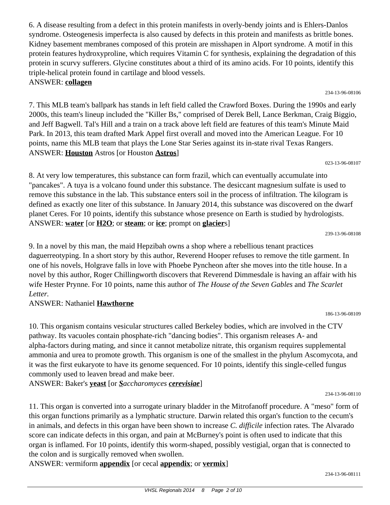6. A disease resulting from a defect in this protein manifests in overly-bendy joints and is Ehlers-Danlos syndrome. Osteogenesis imperfecta is also caused by defects in this protein and manifests as brittle bones. Kidney basement membranes composed of this protein are misshapen in Alport syndrome. A motif in this protein features hydroxyproline, which requires Vitamin C for synthesis, explaining the degradation of this protein in scurvy sufferers. Glycine constitutes about a third of its amino acids. For 10 points, identify this triple-helical protein found in cartilage and blood vessels. ANSWER: **collagen**

7. This MLB team's ballpark has stands in left field called the Crawford Boxes. During the 1990s and early 2000s, this team's lineup included the "Killer Bs," comprised of Derek Bell, Lance Berkman, Craig Biggio, and Jeff Bagwell. Tal's Hill and a train on a track above left field are features of this team's Minute Maid Park. In 2013, this team drafted Mark Appel first overall and moved into the American League. For 10 points, name this MLB team that plays the Lone Star Series against its in-state rival Texas Rangers. ANSWER: **Houston** Astros [or Houston **Astros**]

8. At very low temperatures, this substance can form frazil, which can eventually accumulate into "pancakes". A tuya is a volcano found under this substance. The desiccant magnesium sulfate is used to remove this substance in the lab. This substance enters soil in the process of infiltration. The kilogram is defined as exactly one liter of this substance. In January 2014, this substance was discovered on the dwarf planet Ceres. For 10 points, identify this substance whose presence on Earth is studied by hydrologists. ANSWER: **water** [or **H2O**; or **steam**; or **ice**; prompt on **glacier**s]

9. In a novel by this man, the maid Hepzibah owns a shop where a rebellious tenant practices daguerreotyping. In a short story by this author, Reverend Hooper refuses to remove the title garment. In one of his novels, Holgrave falls in love with Phoebe Pyncheon after she moves into the title house. In a novel by this author, Roger Chillingworth discovers that Reverend Dimmesdale is having an affair with his wife Hester Prynne. For 10 points, name this author of *The House of the Seven Gables* and *The Scarlet Letter.*

### ANSWER: Nathaniel **Hawthorne**

10. This organism contains vesicular structures called Berkeley bodies, which are involved in the CTV pathway. Its vacuoles contain phosphate-rich "dancing bodies". This organism releases A- and alpha-factors during mating, and since it cannot metabolize nitrate, this organism requires supplemental ammonia and urea to promote growth. This organism is one of the smallest in the phylum Ascomycota, and it was the first eukaryote to have its genome sequenced. For 10 points, identify this single-celled fungus commonly used to leaven bread and make beer.

ANSWER: Baker's **yeast** [or *Saccharomyces cerevisiae*]

11. This organ is converted into a surrogate urinary bladder in the Mitrofanoff procedure. A "meso" form of this organ functions primarily as a lymphatic structure. Darwin related this organ's function to the cecum's in animals, and defects in this organ have been shown to increase *C. difficile* infection rates. The Alvarado score can indicate defects in this organ, and pain at McBurney's point is often used to indicate that this organ is inflamed. For 10 points, identify this worm-shaped, possibly vestigial, organ that is connected to the colon and is surgically removed when swollen.

ANSWER: vermiform **appendix** [or cecal **appendix**; or **vermix**]

023-13-96-08107

234-13-96-08110

186-13-96-08109

239-13-96-08108

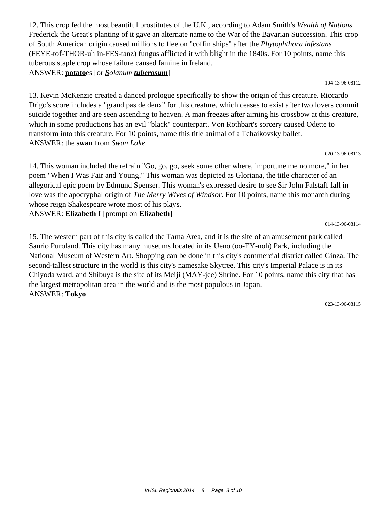12. This crop fed the most beautiful prostitutes of the U.K., according to Adam Smith's *Wealth of Nations.* Frederick the Great's planting of it gave an alternate name to the War of the Bavarian Succession. This crop of South American origin caused millions to flee on "coffin ships" after the *Phytophthora infestans* (FEYE-tof-THOR-uh in-FES-tanz) fungus afflicted it with blight in the 1840s. For 10 points, name this tuberous staple crop whose failure caused famine in Ireland. ANSWER: **potato**es [or *Solanum tuberosum*]

104-13-96-08112

13. Kevin McKenzie created a danced prologue specifically to show the origin of this creature. Riccardo Drigo's score includes a "grand pas de deux" for this creature, which ceases to exist after two lovers commit suicide together and are seen ascending to heaven. A man freezes after aiming his crossbow at this creature, which in some productions has an evil "black" counterpart. Von Rothbart's sorcery caused Odette to transform into this creature. For 10 points, name this title animal of a Tchaikovsky ballet. ANSWER: the **swan** from *Swan Lake*

020-13-96-08113

014-13-96-08114

14. This woman included the refrain "Go, go, go, seek some other where, importune me no more," in her poem "When I Was Fair and Young." This woman was depicted as Gloriana, the title character of an allegorical epic poem by Edmund Spenser. This woman's expressed desire to see Sir John Falstaff fall in love was the apocryphal origin of *The Merry Wives of Windsor.* For 10 points, name this monarch during whose reign Shakespeare wrote most of his plays.

ANSWER: **Elizabeth I** [prompt on **Elizabeth**]

15. The western part of this city is called the Tama Area, and it is the site of an amusement park called Sanrio Puroland. This city has many museums located in its Ueno (oo-EY-noh) Park, including the National Museum of Western Art. Shopping can be done in this city's commercial district called Ginza. The second-tallest structure in the world is this city's namesake Skytree. This city's Imperial Palace is in its Chiyoda ward, and Shibuya is the site of its Meiji (MAY-jee) Shrine. For 10 points, name this city that has the largest metropolitan area in the world and is the most populous in Japan. ANSWER: **Tokyo**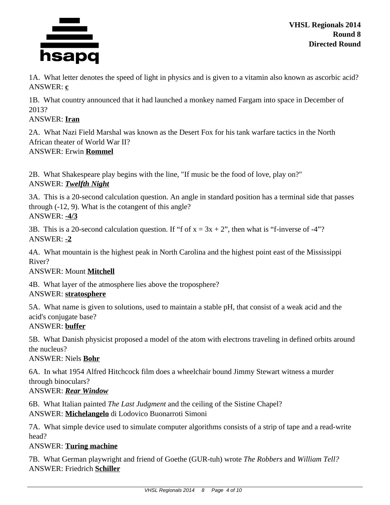

1A. What letter denotes the speed of light in physics and is given to a vitamin also known as ascorbic acid? ANSWER: **c**

1B. What country announced that it had launched a monkey named Fargam into space in December of 2013?

### ANSWER: **Iran**

2A. What Nazi Field Marshal was known as the Desert Fox for his tank warfare tactics in the North African theater of World War II? ANSWER: Erwin **Rommel**

2B. What Shakespeare play begins with the line, "If music be the food of love, play on?" ANSWER: *Twelfth Night*

3A. This is a 20-second calculation question. An angle in standard position has a terminal side that passes through (-12, 9). What is the cotangent of this angle? ANSWER: **-4/3**

3B. This is a 20-second calculation question. If "f of  $x = 3x + 2$ ", then what is "f-inverse of -4"? ANSWER: **-2**

4A. What mountain is the highest peak in North Carolina and the highest point east of the Mississippi River?

## ANSWER: Mount **Mitchell**

4B. What layer of the atmosphere lies above the troposphere? ANSWER: **stratosphere**

5A. What name is given to solutions, used to maintain a stable pH, that consist of a weak acid and the acid's conjugate base?

### ANSWER: **buffer**

5B. What Danish physicist proposed a model of the atom with electrons traveling in defined orbits around the nucleus?

ANSWER: Niels **Bohr**

6A. In what 1954 Alfred Hitchcock film does a wheelchair bound Jimmy Stewart witness a murder through binoculars?

## ANSWER: *Rear Window*

6B. What Italian painted *The Last Judgment* and the ceiling of the Sistine Chapel? ANSWER: **Michelangelo** di Lodovico Buonarroti Simoni

7A. What simple device used to simulate computer algorithms consists of a strip of tape and a read-write head?

## ANSWER: **Turing machine**

7B. What German playwright and friend of Goethe (GUR-tuh) wrote *The Robbers* and *William Tell?* ANSWER: Friedrich **Schiller**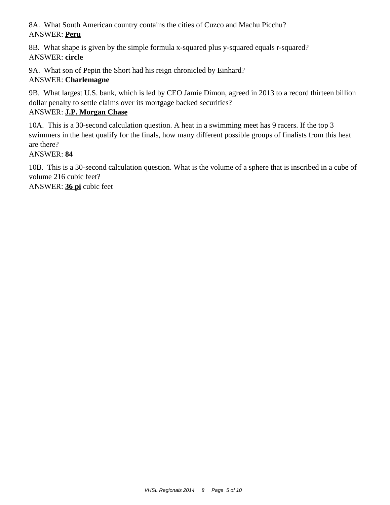8A. What South American country contains the cities of Cuzco and Machu Picchu? ANSWER: **Peru**

8B. What shape is given by the simple formula x-squared plus y-squared equals r-squared? ANSWER: **circle**

9A. What son of Pepin the Short had his reign chronicled by Einhard? ANSWER: **Charlemagne**

9B. What largest U.S. bank, which is led by CEO Jamie Dimon, agreed in 2013 to a record thirteen billion dollar penalty to settle claims over its mortgage backed securities?

# ANSWER: **J.P. Morgan Chase**

10A. This is a 30-second calculation question. A heat in a swimming meet has 9 racers. If the top 3 swimmers in the heat qualify for the finals, how many different possible groups of finalists from this heat are there?

ANSWER: **84**

10B. This is a 30-second calculation question. What is the volume of a sphere that is inscribed in a cube of volume 216 cubic feet? ANSWER: **36 pi** cubic feet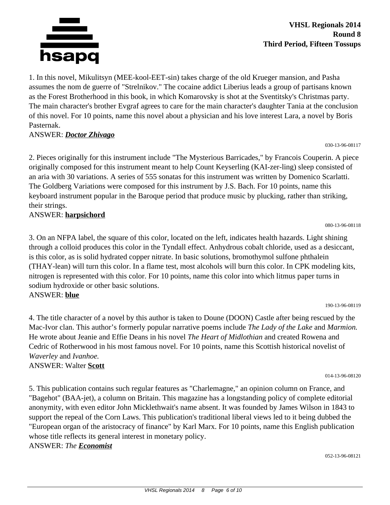

1. In this novel, Mikulitsyn (MEE-kool-EET-sin) takes charge of the old Krueger mansion, and Pasha assumes the nom de guerre of "Strelnikov." The cocaine addict Liberius leads a group of partisans known as the Forest Brotherhood in this book, in which Komarovsky is shot at the Sventitsky's Christmas party. The main character's brother Evgraf agrees to care for the main character's daughter Tania at the conclusion of this novel. For 10 points, name this novel about a physician and his love interest Lara, a novel by Boris Pasternak.

### ANSWER: *Doctor Zhivago*

2. Pieces originally for this instrument include "The Mysterious Barricades," by Francois Couperin. A piece originally composed for this instrument meant to help Count Keyserling (KAI-zer-ling) sleep consisted of an aria with 30 variations. A series of 555 sonatas for this instrument was written by Domenico Scarlatti. The Goldberg Variations were composed for this instrument by J.S. Bach. For 10 points, name this keyboard instrument popular in the Baroque period that produce music by plucking, rather than striking, their strings.

### ANSWER: **harpsichord**

3. On an NFPA label, the square of this color, located on the left, indicates health hazards. Light shining through a colloid produces this color in the Tyndall effect. Anhydrous cobalt chloride, used as a desiccant, is this color, as is solid hydrated copper nitrate. In basic solutions, bromothymol sulfone phthalein (THAY-lean) will turn this color. In a flame test, most alcohols will burn this color. In CPK modeling kits, nitrogen is represented with this color. For 10 points, name this color into which litmus paper turns in sodium hydroxide or other basic solutions. ANSWER: **blue**

190-13-96-08119

080-13-96-08118

030-13-96-08117

4. The title character of a novel by this author is taken to Doune (DOON) Castle after being rescued by the Mac-Ivor clan. This author's formerly popular narrative poems include *The Lady of the Lake* and *Marmion.* He wrote about Jeanie and Effie Deans in his novel *The Heart of Midlothian* and created Rowena and Cedric of Rotherwood in his most famous novel. For 10 points, name this Scottish historical novelist of *Waverley* and *Ivanhoe.* ANSWER: Walter **Scott**

014-13-96-08120

5. This publication contains such regular features as "Charlemagne," an opinion column on France, and "Bagehot" (BAA-jet), a column on Britain. This magazine has a longstanding policy of complete editorial anonymity, with even editor John Micklethwait's name absent. It was founded by James Wilson in 1843 to support the repeal of the Corn Laws. This publication's traditional liberal views led to it being dubbed the "European organ of the aristocracy of finance" by Karl Marx. For 10 points, name this English publication whose title reflects its general interest in monetary policy. ANSWER: *The Economist*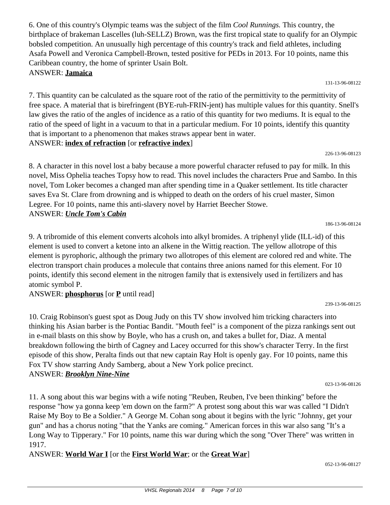6. One of this country's Olympic teams was the subject of the film *Cool Runnings.* This country, the birthplace of brakeman Lascelles (luh-SELLZ) Brown, was the first tropical state to qualify for an Olympic bobsled competition. An unusually high percentage of this country's track and field athletes, including Asafa Powell and Veronica Campbell-Brown, tested positive for PEDs in 2013. For 10 points, name this Caribbean country, the home of sprinter Usain Bolt. ANSWER: **Jamaica**

131-13-96-08122

7. This quantity can be calculated as the square root of the ratio of the permittivity to the permittivity of free space. A material that is birefringent (BYE-ruh-FRIN-jent) has multiple values for this quantity. Snell's law gives the ratio of the angles of incidence as a ratio of this quantity for two mediums. It is equal to the ratio of the speed of light in a vacuum to that in a particular medium. For 10 points, identify this quantity that is important to a phenomenon that makes straws appear bent in water.

### ANSWER: **index of refraction** [or **refractive index**]

8. A character in this novel lost a baby because a more powerful character refused to pay for milk. In this novel, Miss Ophelia teaches Topsy how to read. This novel includes the characters Prue and Sambo. In this novel, Tom Loker becomes a changed man after spending time in a Quaker settlement. Its title character saves Eva St. Clare from drowning and is whipped to death on the orders of his cruel master, Simon Legree. For 10 points, name this anti-slavery novel by Harriet Beecher Stowe. ANSWER: *Uncle Tom's Cabin*

9. A tribromide of this element converts alcohols into alkyl bromides. A triphenyl ylide (ILL-id) of this element is used to convert a ketone into an alkene in the Wittig reaction. The yellow allotrope of this element is pyrophoric, although the primary two allotropes of this element are colored red and white. The electron transport chain produces a molecule that contains three anions named for this element. For 10 points, identify this second element in the nitrogen family that is extensively used in fertilizers and has atomic symbol P.

## ANSWER: **phosphorus** [or **P** until read]

10. Craig Robinson's guest spot as Doug Judy on this TV show involved him tricking characters into thinking his Asian barber is the Pontiac Bandit. "Mouth feel" is a component of the pizza rankings sent out in e-mail blasts on this show by Boyle, who has a crush on, and takes a bullet for, Diaz. A mental breakdown following the birth of Cagney and Lacey occurred for this show's character Terry. In the first episode of this show, Peralta finds out that new captain Ray Holt is openly gay. For 10 points, name this Fox TV show starring Andy Samberg, about a New York police precinct. ANSWER: *Brooklyn Nine-Nine*

11. A song about this war begins with a wife noting "Reuben, Reuben, I've been thinking" before the response "how ya gonna keep 'em down on the farm?" A protest song about this war was called "I Didn't Raise My Boy to Be a Soldier." A George M. Cohan song about it begins with the lyric "Johnny, get your gun" and has a chorus noting "that the Yanks are coming." American forces in this war also sang "It's a Long Way to Tipperary." For 10 points, name this war during which the song "Over There" was written in 1917.

ANSWER: **World War I** [or the **First World War**; or the **Great War**]

186-13-96-08124

226-13-96-08123

023-13-96-08126

052-13-96-08127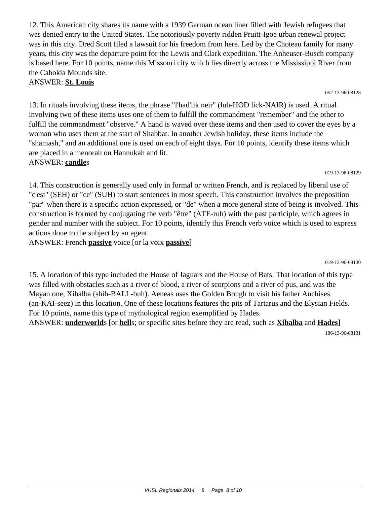12. This American city shares its name with a 1939 German ocean liner filled with Jewish refugees that was denied entry to the United States. The notoriously poverty ridden Pruitt-Igoe urban renewal project was in this city. Dred Scott filed a lawsuit for his freedom from here. Led by the Choteau family for many years, this city was the departure point for the Lewis and Clark expedition. The Anheuser-Busch company is based here. For 10 points, name this Missouri city which lies directly across the Mississippi River from the Cahokia Mounds site.

### ANSWER: **St. Louis**

13. In rituals involving these items, the phrase "l'had'lik neir" (luh-HOD lick-NAIR) is used. A ritual involving two of these items uses one of them to fulfill the commandment "remember" and the other to fulfill the commandment "observe." A hand is waved over these items and then used to cover the eyes by a woman who uses them at the start of Shabbat. In another Jewish holiday, these items include the "shamash," and an additional one is used on each of eight days. For 10 points, identify these items which are placed in a menorah on Hannukah and lit. ANSWER: **candle**s

019-13-96-08129

14. This construction is generally used only in formal or written French, and is replaced by liberal use of "c'est" (SEH) or "ce" (SUH) to start sentences in most speech. This construction involves the preposition "par" when there is a specific action expressed, or "de" when a more general state of being is involved. This construction is formed by conjugating the verb "être" (ATE-ruh) with the past participle, which agrees in gender and number with the subject. For 10 points, identify this French verb voice which is used to express actions done to the subject by an agent.

ANSWER: French **passive** voice [or la voix **passive**]

019-13-96-08130

15. A location of this type included the House of Jaguars and the House of Bats. That location of this type was filled with obstacles such as a river of blood, a river of scorpions and a river of pus, and was the Mayan one, Xibalba (shih-BALL-buh). Aeneas uses the Golden Bough to visit his father Anchises (an-KAI-seez) in this location. One of these locations features the pits of Tartarus and the Elysian Fields. For 10 points, name this type of mythological region exemplified by Hades. ANSWER: **underworld**s [or **hell**s; or specific sites before they are read, such as **Xibalba** and **Hades**]

186-13-96-08131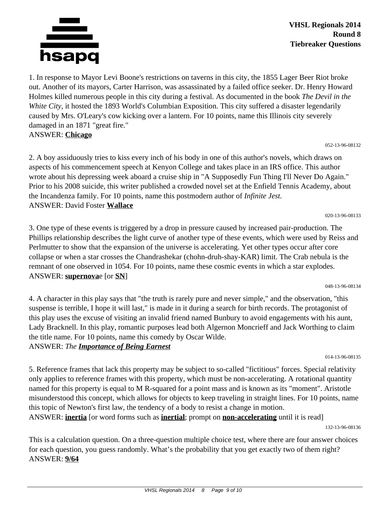

1. In response to Mayor Levi Boone's restrictions on taverns in this city, the 1855 Lager Beer Riot broke out. Another of its mayors, Carter Harrison, was assassinated by a failed office seeker. Dr. Henry Howard Holmes killed numerous people in this city during a festival. As documented in the book *The Devil in the White City,* it hosted the 1893 World's Columbian Exposition. This city suffered a disaster legendarily caused by Mrs. O'Leary's cow kicking over a lantern. For 10 points, name this Illinois city severely damaged in an 1871 "great fire." ANSWER: **Chicago**

052-13-96-08132

2. A boy assiduously tries to kiss every inch of his body in one of this author's novels, which draws on aspects of his commencement speech at Kenyon College and takes place in an IRS office. This author wrote about his depressing week aboard a cruise ship in "A Supposedly Fun Thing I'll Never Do Again." Prior to his 2008 suicide, this writer published a crowded novel set at the Enfield Tennis Academy, about the Incandenza family. For 10 points, name this postmodern author of *Infinite Jest.* ANSWER: David Foster **Wallace**

020-13-96-08133

3. One type of these events is triggered by a drop in pressure caused by increased pair-production. The Phillips relationship describes the light curve of another type of these events, which were used by Reiss and Perlmutter to show that the expansion of the universe is accelerating. Yet other types occur after core collapse or when a star crosses the Chandrashekar (chohn-druh-shay-KAR) limit. The Crab nebula is the remnant of one observed in 1054. For 10 points, name these cosmic events in which a star explodes. ANSWER: **supernova**e [or **SN**]

048-13-96-08134

4. A character in this play says that "the truth is rarely pure and never simple," and the observation, "this suspense is terrible, I hope it will last," is made in it during a search for birth records. The protagonist of this play uses the excuse of visiting an invalid friend named Bunbury to avoid engagements with his aunt, Lady Bracknell. In this play, romantic purposes lead both Algernon Moncrieff and Jack Worthing to claim the title name. For 10 points, name this comedy by Oscar Wilde.

ANSWER: *The Importance of Being Earnest*

5. Reference frames that lack this property may be subject to so-called "fictitious" forces. Special relativity only applies to reference frames with this property, which must be non-accelerating. A rotational quantity named for this property is equal to M R-squared for a point mass and is known as its "moment". Aristotle misunderstood this concept, which allows for objects to keep traveling in straight lines. For 10 points, name this topic of Newton's first law, the tendency of a body to resist a change in motion.

ANSWER: **inertia** [or word forms such as **inertial**; prompt on **non-accelerating** until it is read]

132-13-96-08136

014-13-96-08135

This is a calculation question. On a three-question multiple choice test, where there are four answer choices for each question, you guess randomly. What's the probability that you get exactly two of them right? ANSWER: **9/64**